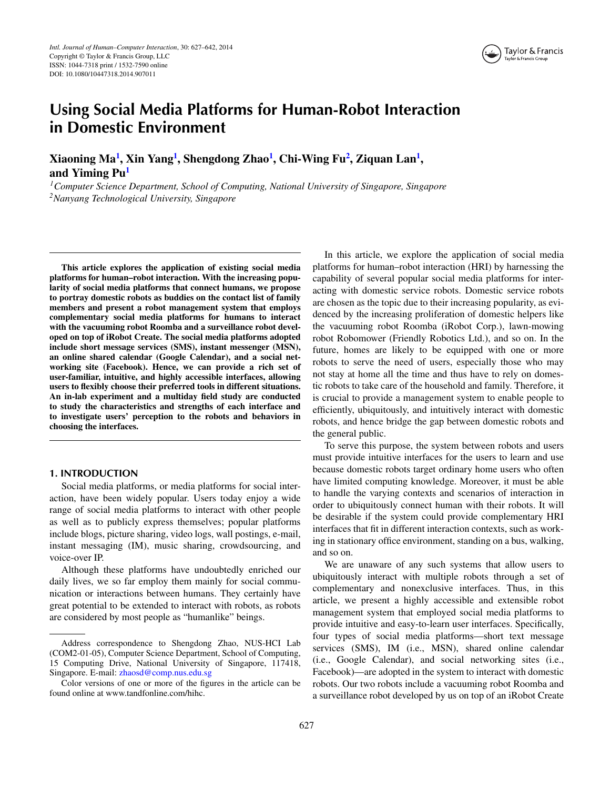

# **Using Social Media Platforms for Human-Robot Interaction in Domestic Environment**

<span id="page-0-0"></span>**Xiaoning M[a1](#page-0-0) , Xin Yang[1](#page-0-0) , Shengdong Zhao[1](#page-0-0) , Chi-Wing Fu[2](#page-0-0) , Ziquan Lan[1](#page-0-0) ,** and Yiming Pu<sup>1</sup>

*1Computer Science Department, School of Computing, National University of Singapore, Singapore 2Nanyang Technological University, Singapore*

**This article explores the application of existing social media platforms for human–robot interaction. With the increasing popularity of social media platforms that connect humans, we propose to portray domestic robots as buddies on the contact list of family members and present a robot management system that employs complementary social media platforms for humans to interact with the vacuuming robot Roomba and a surveillance robot developed on top of iRobot Create. The social media platforms adopted include short message services (SMS), instant messenger (MSN), an online shared calendar (Google Calendar), and a social networking site (Facebook). Hence, we can provide a rich set of user-familiar, intuitive, and highly accessible interfaces, allowing users to flexibly choose their preferred tools in different situations. An in-lab experiment and a multiday field study are conducted to study the characteristics and strengths of each interface and to investigate users' perception to the robots and behaviors in choosing the interfaces.**

# **1. INTRODUCTION**

Social media platforms, or media platforms for social interaction, have been widely popular. Users today enjoy a wide range of social media platforms to interact with other people as well as to publicly express themselves; popular platforms include blogs, picture sharing, video logs, wall postings, e-mail, instant messaging (IM), music sharing, crowdsourcing, and voice-over IP.

Although these platforms have undoubtedly enriched our daily lives, we so far employ them mainly for social communication or interactions between humans. They certainly have great potential to be extended to interact with robots, as robots are considered by most people as "humanlike" beings.

In this article, we explore the application of social media platforms for human–robot interaction (HRI) by harnessing the capability of several popular social media platforms for interacting with domestic service robots. Domestic service robots are chosen as the topic due to their increasing popularity, as evidenced by the increasing proliferation of domestic helpers like the vacuuming robot Roomba (iRobot Corp.), lawn-mowing robot Robomower (Friendly Robotics Ltd.), and so on. In the future, homes are likely to be equipped with one or more robots to serve the need of users, especially those who may not stay at home all the time and thus have to rely on domestic robots to take care of the household and family. Therefore, it is crucial to provide a management system to enable people to efficiently, ubiquitously, and intuitively interact with domestic robots, and hence bridge the gap between domestic robots and the general public.

To serve this purpose, the system between robots and users must provide intuitive interfaces for the users to learn and use because domestic robots target ordinary home users who often have limited computing knowledge. Moreover, it must be able to handle the varying contexts and scenarios of interaction in order to ubiquitously connect human with their robots. It will be desirable if the system could provide complementary HRI interfaces that fit in different interaction contexts, such as working in stationary office environment, standing on a bus, walking, and so on.

We are unaware of any such systems that allow users to ubiquitously interact with multiple robots through a set of complementary and nonexclusive interfaces. Thus, in this article, we present a highly accessible and extensible robot management system that employed social media platforms to provide intuitive and easy-to-learn user interfaces. Specifically, four types of social media platforms—short text message services (SMS), IM (i.e., MSN), shared online calendar (i.e., Google Calendar), and social networking sites (i.e., Facebook)—are adopted in the system to interact with domestic robots. Our two robots include a vacuuming robot Roomba and a surveillance robot developed by us on top of an iRobot Create

Address correspondence to Shengdong Zhao, NUS-HCI Lab (COM2-01-05), Computer Science Department, School of Computing, 15 Computing Drive, National University of Singapore, 117418, Singapore. E-mail: [zhaosd@comp.nus.edu.sg](mailto:zhaosd@comp.nus.edu.sg)

Color versions of one or more of the figures in the article can be found online at www.tandfonline.com/hihc.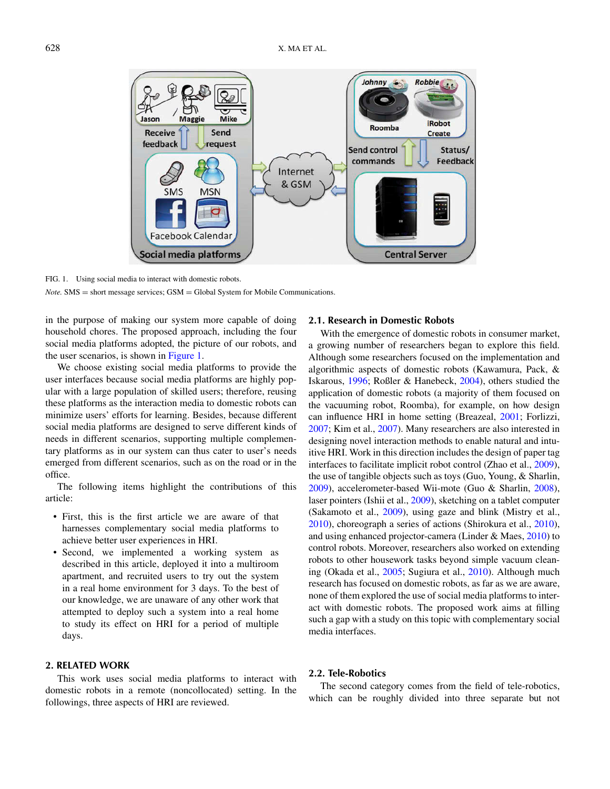<span id="page-1-0"></span>

FIG. 1. Using social media to interact with domestic robots. *Note.* SMS = short message services; GSM = Global System for Mobile Communications.

in the purpose of making our system more capable of doing household chores. The proposed approach, including the four social media platforms adopted, the picture of our robots, and the user scenarios, is shown in [Figure 1.](#page-1-0)

We choose existing social media platforms to provide the user interfaces because social media platforms are highly popular with a large population of skilled users; therefore, reusing these platforms as the interaction media to domestic robots can minimize users' efforts for learning. Besides, because different social media platforms are designed to serve different kinds of needs in different scenarios, supporting multiple complementary platforms as in our system can thus cater to user's needs emerged from different scenarios, such as on the road or in the office.

The following items highlight the contributions of this article:

- First, this is the first article we are aware of that harnesses complementary social media platforms to achieve better user experiences in HRI.
- Second, we implemented a working system as described in this article, deployed it into a multiroom apartment, and recruited users to try out the system in a real home environment for 3 days. To the best of our knowledge, we are unaware of any other work that attempted to deploy such a system into a real home to study its effect on HRI for a period of multiple days.

# **2. RELATED WORK**

This work uses social media platforms to interact with domestic robots in a remote (noncollocated) setting. In the followings, three aspects of HRI are reviewed.

#### **2.1. Research in Domestic Robots**

With the emergence of domestic robots in consumer market, a growing number of researchers began to explore this field. Although some researchers focused on the implementation and algorithmic aspects of domestic robots (Kawamura, Pack, & Iskarous, [1996;](#page-14-0) Roßler & Hanebeck, [2004\)](#page-15-0), others studied the application of domestic robots (a majority of them focused on the vacuuming robot, Roomba), for example, on how design can influence HRI in home setting (Breazeal, [2001;](#page-14-1) Forlizzi, [2007;](#page-14-2) Kim et al., [2007\)](#page-15-1). Many researchers are also interested in designing novel interaction methods to enable natural and intuitive HRI. Work in this direction includes the design of paper tag interfaces to facilitate implicit robot control (Zhao et al., [2009\)](#page-15-2), the use of tangible objects such as toys (Guo, Young, & Sharlin, [2009\)](#page-14-3), accelerometer-based Wii-mote (Guo & Sharlin, [2008\)](#page-14-4), laser pointers (Ishii et al., [2009\)](#page-14-5), sketching on a tablet computer (Sakamoto et al., [2009\)](#page-15-3), using gaze and blink (Mistry et al., [2010\)](#page-15-4), choreograph a series of actions (Shirokura et al., [2010\)](#page-15-5), and using enhanced projector-camera (Linder & Maes, [2010\)](#page-15-6) to control robots. Moreover, researchers also worked on extending robots to other housework tasks beyond simple vacuum cleaning (Okada et al., [2005;](#page-15-7) Sugiura et al., [2010\)](#page-15-8). Although much research has focused on domestic robots, as far as we are aware, none of them explored the use of social media platforms to interact with domestic robots. The proposed work aims at filling such a gap with a study on this topic with complementary social media interfaces.

# **2.2. Tele-Robotics**

The second category comes from the field of tele-robotics, which can be roughly divided into three separate but not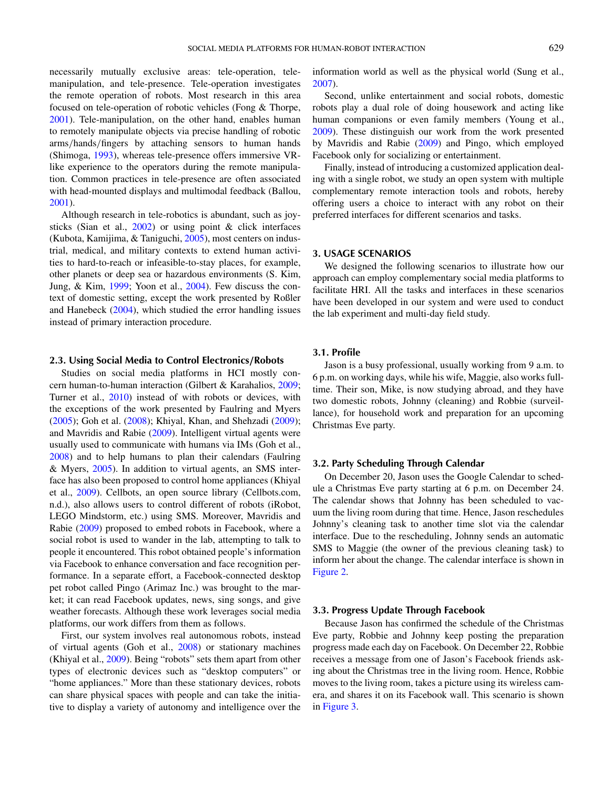necessarily mutually exclusive areas: tele-operation, telemanipulation, and tele-presence. Tele-operation investigates the remote operation of robots. Most research in this area focused on tele-operation of robotic vehicles (Fong & Thorpe, [2001\)](#page-14-6). Tele-manipulation, on the other hand, enables human to remotely manipulate objects via precise handling of robotic arms*/*hands*/*fingers by attaching sensors to human hands (Shimoga, [1993\)](#page-15-9), whereas tele-presence offers immersive VRlike experience to the operators during the remote manipulation. Common practices in tele-presence are often associated with head-mounted displays and multimodal feedback (Ballou, [2001\)](#page-14-7).

Although research in tele-robotics is abundant, such as joysticks (Sian et al., [2002\)](#page-15-10) or using point & click interfaces (Kubota, Kamijima, & Taniguchi, [2005\)](#page-15-11), most centers on industrial, medical, and military contexts to extend human activities to hard-to-reach or infeasible-to-stay places, for example, other planets or deep sea or hazardous environments (S. Kim, Jung, & Kim, [1999;](#page-15-12) Yoon et al., [2004\)](#page-15-13). Few discuss the context of domestic setting, except the work presented by Roßler and Hanebeck [\(2004\)](#page-15-0), which studied the error handling issues instead of primary interaction procedure.

# **2.3. Using Social Media to Control Electronics***/***Robots**

Studies on social media platforms in HCI mostly concern human-to-human interaction (Gilbert & Karahalios, [2009;](#page-14-8) Turner et al., [2010\)](#page-15-14) instead of with robots or devices, with the exceptions of the work presented by Faulring and Myers [\(2005\)](#page-14-9); Goh et al. [\(2008\)](#page-14-10); Khiyal, Khan, and Shehzadi [\(2009\)](#page-15-15); and Mavridis and Rabie [\(2009\)](#page-15-16). Intelligent virtual agents were usually used to communicate with humans via IMs (Goh et al., [2008\)](#page-14-10) and to help humans to plan their calendars (Faulring & Myers, [2005\)](#page-14-9). In addition to virtual agents, an SMS interface has also been proposed to control home appliances (Khiyal et al., [2009\)](#page-15-15). Cellbots, an open source library (Cellbots.com, n.d.), also allows users to control different of robots (iRobot, LEGO Mindstorm, etc.) using SMS. Moreover, Mavridis and Rabie [\(2009\)](#page-15-16) proposed to embed robots in Facebook, where a social robot is used to wander in the lab, attempting to talk to people it encountered. This robot obtained people's information via Facebook to enhance conversation and face recognition performance. In a separate effort, a Facebook-connected desktop pet robot called Pingo (Arimaz Inc.) was brought to the market; it can read Facebook updates, news, sing songs, and give weather forecasts. Although these work leverages social media platforms, our work differs from them as follows.

First, our system involves real autonomous robots, instead of virtual agents (Goh et al., [2008\)](#page-14-10) or stationary machines (Khiyal et al., [2009\)](#page-15-15). Being "robots" sets them apart from other types of electronic devices such as "desktop computers" or "home appliances." More than these stationary devices, robots can share physical spaces with people and can take the initiative to display a variety of autonomy and intelligence over the information world as well as the physical world (Sung et al., [2007\)](#page-15-17).

Second, unlike entertainment and social robots, domestic robots play a dual role of doing housework and acting like human companions or even family members (Young et al., [2009\)](#page-15-18). These distinguish our work from the work presented by Mavridis and Rabie [\(2009\)](#page-15-16) and Pingo, which employed Facebook only for socializing or entertainment.

Finally, instead of introducing a customized application dealing with a single robot, we study an open system with multiple complementary remote interaction tools and robots, hereby offering users a choice to interact with any robot on their preferred interfaces for different scenarios and tasks.

# **3. USAGE SCENARIOS**

We designed the following scenarios to illustrate how our approach can employ complementary social media platforms to facilitate HRI. All the tasks and interfaces in these scenarios have been developed in our system and were used to conduct the lab experiment and multi-day field study.

# **3.1. Profile**

Jason is a busy professional, usually working from 9 a.m. to 6 p.m. on working days, while his wife, Maggie, also works fulltime. Their son, Mike, is now studying abroad, and they have two domestic robots, Johnny (cleaning) and Robbie (surveillance), for household work and preparation for an upcoming Christmas Eve party.

#### **3.2. Party Scheduling Through Calendar**

On December 20, Jason uses the Google Calendar to schedule a Christmas Eve party starting at 6 p.m. on December 24. The calendar shows that Johnny has been scheduled to vacuum the living room during that time. Hence, Jason reschedules Johnny's cleaning task to another time slot via the calendar interface. Due to the rescheduling, Johnny sends an automatic SMS to Maggie (the owner of the previous cleaning task) to inform her about the change. The calendar interface is shown in [Figure 2.](#page-3-0)

## **3.3. Progress Update Through Facebook**

Because Jason has confirmed the schedule of the Christmas Eve party, Robbie and Johnny keep posting the preparation progress made each day on Facebook. On December 22, Robbie receives a message from one of Jason's Facebook friends asking about the Christmas tree in the living room. Hence, Robbie moves to the living room, takes a picture using its wireless camera, and shares it on its Facebook wall. This scenario is shown in [Figure 3.](#page-3-1)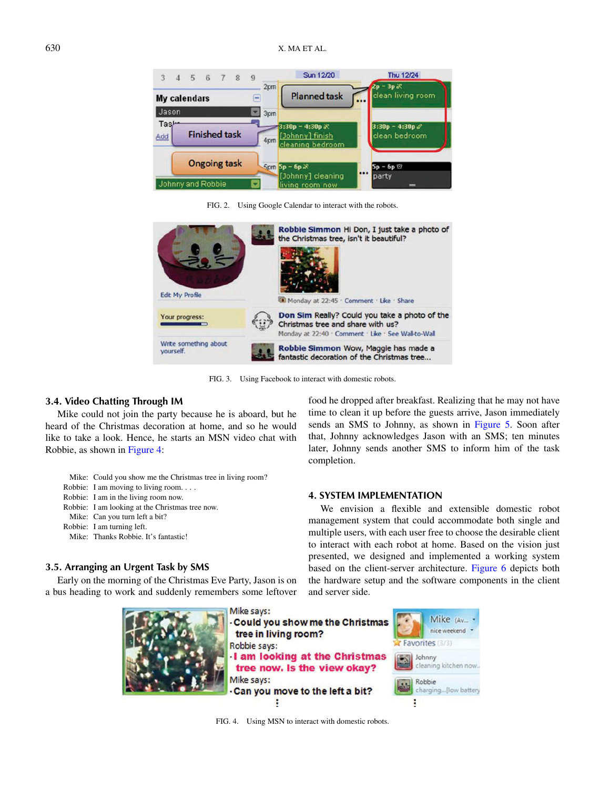<span id="page-3-0"></span>

FIG. 2. Using Google Calendar to interact with the robots.

<span id="page-3-1"></span>

FIG. 3. Using Facebook to interact with domestic robots.

completion.

**4. SYSTEM IMPLEMENTATION**

# **3.4. Video Chatting Through IM**

Mike could not join the party because he is aboard, but he heard of the Christmas decoration at home, and so he would like to take a look. Hence, he starts an MSN video chat with Robbie, as shown in [Figure 4:](#page-3-2)

Mike: Could you show me the Christmas tree in living room? Robbie: I am moving to living room. *...* Robbie: I am in the living room now. Robbie: I am looking at the Christmas tree now. Mike: Can you turn left a bit? Robbie: I am turning left. Mike: Thanks Robbie. It's fantastic!

# **3.5. Arranging an Urgent Task by SMS**

<span id="page-3-2"></span>Early on the morning of the Christmas Eve Party, Jason is on a bus heading to work and suddenly remembers some leftover



Mike says: Could you show me the Christmas tree in living room? Robbie says: I am looking at the Christmas tree now. Is the view okay? Mike says: Can you move to the left a bit? ÷

and server side.



food he dropped after breakfast. Realizing that he may not have time to clean it up before the guests arrive, Jason immediately sends an SMS to Johnny, as shown in [Figure 5.](#page-4-0) Soon after that, Johnny acknowledges Jason with an SMS; ten minutes later, Johnny sends another SMS to inform him of the task

We envision a flexible and extensible domestic robot management system that could accommodate both single and multiple users, with each user free to choose the desirable client to interact with each robot at home. Based on the vision just presented, we designed and implemented a working system based on the client-server architecture. [Figure 6](#page-4-1) depicts both the hardware setup and the software components in the client

FIG. 4. Using MSN to interact with domestic robots.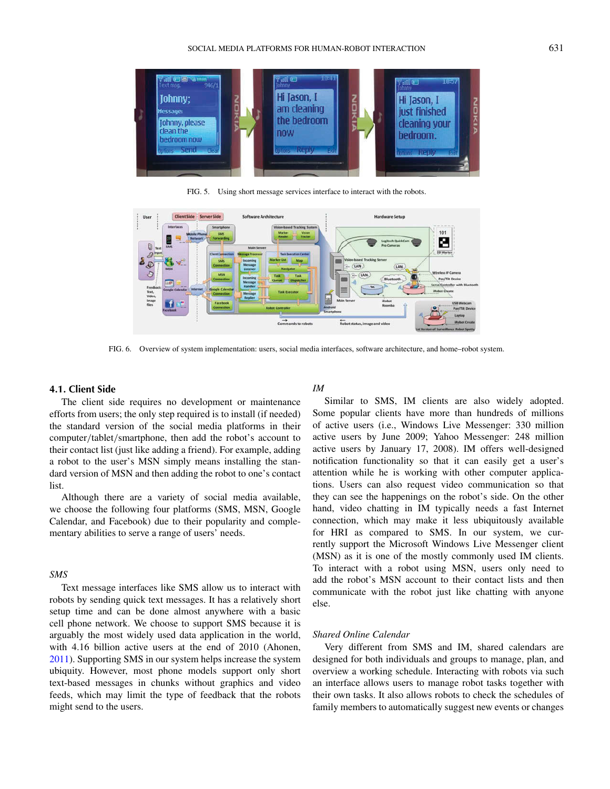<span id="page-4-0"></span>

FIG. 5. Using short message services interface to interact with the robots.

<span id="page-4-1"></span>

FIG. 6. Overview of system implementation: users, social media interfaces, software architecture, and home–robot system.

# **4.1. Client Side**

The client side requires no development or maintenance efforts from users; the only step required is to install (if needed) the standard version of the social media platforms in their computer*/*tablet*/*smartphone, then add the robot's account to their contact list (just like adding a friend). For example, adding a robot to the user's MSN simply means installing the standard version of MSN and then adding the robot to one's contact list.

Although there are a variety of social media available, we choose the following four platforms (SMS, MSN, Google Calendar, and Facebook) due to their popularity and complementary abilities to serve a range of users' needs.

# *SMS*

Text message interfaces like SMS allow us to interact with robots by sending quick text messages. It has a relatively short setup time and can be done almost anywhere with a basic cell phone network. We choose to support SMS because it is arguably the most widely used data application in the world, with 4.16 billion active users at the end of 2010 (Ahonen, [2011\)](#page-14-11). Supporting SMS in our system helps increase the system ubiquity. However, most phone models support only short text-based messages in chunks without graphics and video feeds, which may limit the type of feedback that the robots might send to the users.

# *IM*

Similar to SMS, IM clients are also widely adopted. Some popular clients have more than hundreds of millions of active users (i.e., Windows Live Messenger: 330 million active users by June 2009; Yahoo Messenger: 248 million active users by January 17, 2008). IM offers well-designed notification functionality so that it can easily get a user's attention while he is working with other computer applications. Users can also request video communication so that they can see the happenings on the robot's side. On the other hand, video chatting in IM typically needs a fast Internet connection, which may make it less ubiquitously available for HRI as compared to SMS. In our system, we currently support the Microsoft Windows Live Messenger client (MSN) as it is one of the mostly commonly used IM clients. To interact with a robot using MSN, users only need to add the robot's MSN account to their contact lists and then communicate with the robot just like chatting with anyone else.

# *Shared Online Calendar*

Very different from SMS and IM, shared calendars are designed for both individuals and groups to manage, plan, and overview a working schedule. Interacting with robots via such an interface allows users to manage robot tasks together with their own tasks. It also allows robots to check the schedules of family members to automatically suggest new events or changes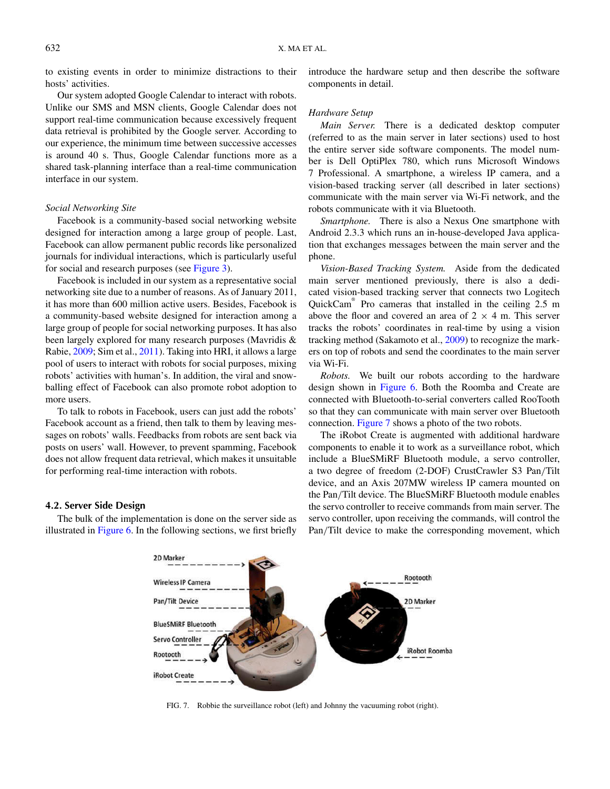to existing events in order to minimize distractions to their hosts' activities.

Our system adopted Google Calendar to interact with robots. Unlike our SMS and MSN clients, Google Calendar does not support real-time communication because excessively frequent data retrieval is prohibited by the Google server. According to our experience, the minimum time between successive accesses is around 40 s. Thus, Google Calendar functions more as a shared task-planning interface than a real-time communication interface in our system.

# *Social Networking Site*

Facebook is a community-based social networking website designed for interaction among a large group of people. Last, Facebook can allow permanent public records like personalized journals for individual interactions, which is particularly useful for social and research purposes (see [Figure 3\)](#page-3-1).

Facebook is included in our system as a representative social networking site due to a number of reasons. As of January 2011, it has more than 600 million active users. Besides, Facebook is a community-based website designed for interaction among a large group of people for social networking purposes. It has also been largely explored for many research purposes (Mavridis & Rabie, [2009;](#page-15-16) Sim et al., [2011\)](#page-15-19). Taking into HRI, it allows a large pool of users to interact with robots for social purposes, mixing robots' activities with human's. In addition, the viral and snowballing effect of Facebook can also promote robot adoption to more users.

To talk to robots in Facebook, users can just add the robots' Facebook account as a friend, then talk to them by leaving messages on robots' walls. Feedbacks from robots are sent back via posts on users' wall. However, to prevent spamming, Facebook does not allow frequent data retrieval, which makes it unsuitable for performing real-time interaction with robots.

# **4.2. Server Side Design**

<span id="page-5-0"></span>The bulk of the implementation is done on the server side as illustrated in [Figure 6.](#page-4-1) In the following sections, we first briefly

introduce the hardware setup and then describe the software components in detail.

#### *Hardware Setup*

*Main Server.* There is a dedicated desktop computer (referred to as the main server in later sections) used to host the entire server side software components. The model number is Dell OptiPlex 780, which runs Microsoft Windows 7 Professional. A smartphone, a wireless IP camera, and a vision-based tracking server (all described in later sections) communicate with the main server via Wi-Fi network, and the robots communicate with it via Bluetooth.

*Smartphone.* There is also a Nexus One smartphone with Android 2.3.3 which runs an in-house-developed Java application that exchanges messages between the main server and the phone.

*Vision-Based Tracking System.* Aside from the dedicated main server mentioned previously, there is also a dedicated vision-based tracking server that connects two Logitech QuickCam® Pro cameras that installed in the ceiling 2.5 m above the floor and covered an area of  $2 \times 4$  m. This server tracks the robots' coordinates in real-time by using a vision tracking method (Sakamoto et al., [2009\)](#page-15-3) to recognize the markers on top of robots and send the coordinates to the main server via Wi-Fi.

*Robots.* We built our robots according to the hardware design shown in [Figure 6.](#page-4-1) Both the Roomba and Create are connected with Bluetooth-to-serial converters called RooTooth so that they can communicate with main server over Bluetooth connection. [Figure 7](#page-5-0) shows a photo of the two robots.

The iRobot Create is augmented with additional hardware components to enable it to work as a surveillance robot, which include a BlueSMiRF Bluetooth module, a servo controller, a two degree of freedom (2-DOF) CrustCrawler S3 Pan*/*Tilt device, and an Axis 207MW wireless IP camera mounted on the Pan*/*Tilt device. The BlueSMiRF Bluetooth module enables the servo controller to receive commands from main server. The servo controller, upon receiving the commands, will control the Pan*/*Tilt device to make the corresponding movement, which



FIG. 7. Robbie the surveillance robot (left) and Johnny the vacuuming robot (right).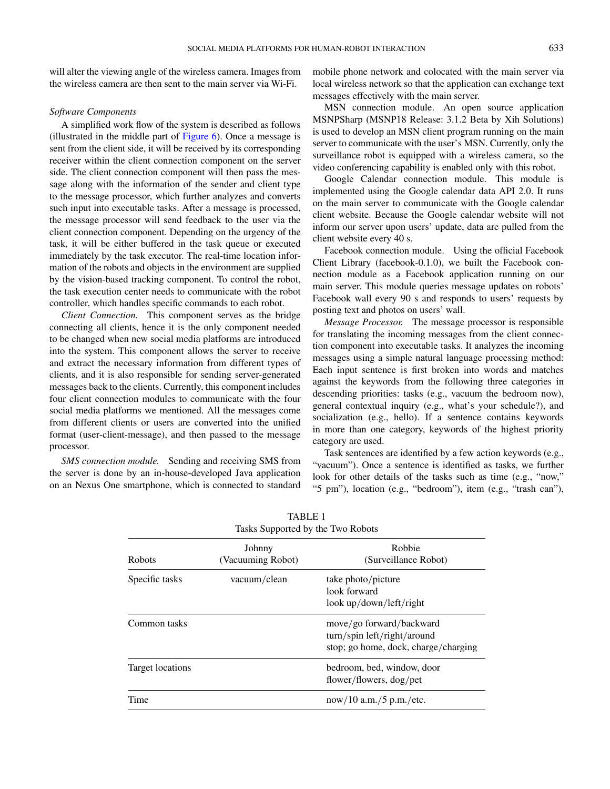will alter the viewing angle of the wireless camera. Images from the wireless camera are then sent to the main server via Wi-Fi.

#### *Software Components*

A simplified work flow of the system is described as follows (illustrated in the middle part of [Figure 6\)](#page-4-1). Once a message is sent from the client side, it will be received by its corresponding receiver within the client connection component on the server side. The client connection component will then pass the message along with the information of the sender and client type to the message processor, which further analyzes and converts such input into executable tasks. After a message is processed, the message processor will send feedback to the user via the client connection component. Depending on the urgency of the task, it will be either buffered in the task queue or executed immediately by the task executor. The real-time location information of the robots and objects in the environment are supplied by the vision-based tracking component. To control the robot, the task execution center needs to communicate with the robot controller, which handles specific commands to each robot.

*Client Connection.* This component serves as the bridge connecting all clients, hence it is the only component needed to be changed when new social media platforms are introduced into the system. This component allows the server to receive and extract the necessary information from different types of clients, and it is also responsible for sending server-generated messages back to the clients. Currently, this component includes four client connection modules to communicate with the four social media platforms we mentioned. All the messages come from different clients or users are converted into the unified format (user-client-message), and then passed to the message processor.

*SMS connection module.* Sending and receiving SMS from the server is done by an in-house-developed Java application on an Nexus One smartphone, which is connected to standard mobile phone network and colocated with the main server via local wireless network so that the application can exchange text messages effectively with the main server.

MSN connection module. An open source application MSNPSharp (MSNP18 Release: 3.1.2 Beta by Xih Solutions) is used to develop an MSN client program running on the main server to communicate with the user's MSN. Currently, only the surveillance robot is equipped with a wireless camera, so the video conferencing capability is enabled only with this robot.

Google Calendar connection module. This module is implemented using the Google calendar data API 2.0. It runs on the main server to communicate with the Google calendar client website. Because the Google calendar website will not inform our server upon users' update, data are pulled from the client website every 40 s.

Facebook connection module. Using the official Facebook Client Library (facebook-0.1.0), we built the Facebook connection module as a Facebook application running on our main server. This module queries message updates on robots' Facebook wall every 90 s and responds to users' requests by posting text and photos on users' wall.

*Message Processor.* The message processor is responsible for translating the incoming messages from the client connection component into executable tasks. It analyzes the incoming messages using a simple natural language processing method: Each input sentence is first broken into words and matches against the keywords from the following three categories in descending priorities: tasks (e.g., vacuum the bedroom now), general contextual inquiry (e.g., what's your schedule?), and socialization (e.g., hello). If a sentence contains keywords in more than one category, keywords of the highest priority category are used.

<span id="page-6-0"></span>Task sentences are identified by a few action keywords (e.g., "vacuum"). Once a sentence is identified as tasks, we further look for other details of the tasks such as time (e.g., "now," "5 pm"), location (e.g., "bedroom"), item (e.g., "trash can"),

| Tasks Supported by the Two Robots |                             |                                                                                                    |  |  |  |  |  |  |
|-----------------------------------|-----------------------------|----------------------------------------------------------------------------------------------------|--|--|--|--|--|--|
| Robots                            | Johnny<br>(Vacuuming Robot) | Robbie<br>(Surveillance Robot)                                                                     |  |  |  |  |  |  |
| Specific tasks                    | vacuum/clean                | take photo/picture<br>look forward<br>look up/down/left/right                                      |  |  |  |  |  |  |
| Common tasks                      |                             | move/go forward/backward<br>$turn$ /spin left/right/around<br>stop; go home, dock, charge/charging |  |  |  |  |  |  |
| <b>Target locations</b>           |                             | bedroom, bed, window, door<br>flower/flowers, dog/pet                                              |  |  |  |  |  |  |
| Time                              |                             | $now/10$ a.m./5 p.m./etc.                                                                          |  |  |  |  |  |  |

| <b>TABLE 1</b>                    |
|-----------------------------------|
| esks Supported by the Two Robots' |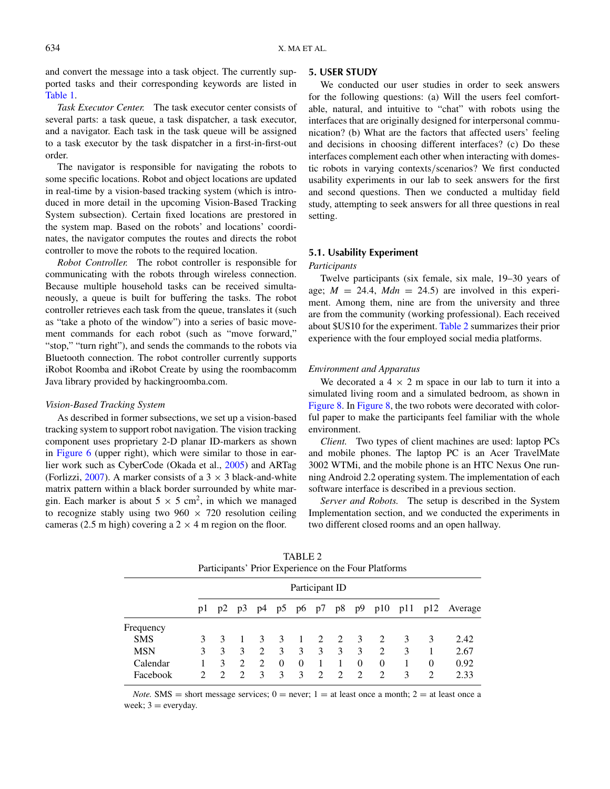and convert the message into a task object. The currently supported tasks and their corresponding keywords are listed in [Table 1.](#page-6-0)

*Task Executor Center.* The task executor center consists of several parts: a task queue, a task dispatcher, a task executor, and a navigator. Each task in the task queue will be assigned to a task executor by the task dispatcher in a first-in-first-out order.

The navigator is responsible for navigating the robots to some specific locations. Robot and object locations are updated in real-time by a vision-based tracking system (which is introduced in more detail in the upcoming Vision-Based Tracking System subsection). Certain fixed locations are prestored in the system map. Based on the robots' and locations' coordinates, the navigator computes the routes and directs the robot controller to move the robots to the required location.

*Robot Controller.* The robot controller is responsible for communicating with the robots through wireless connection. Because multiple household tasks can be received simultaneously, a queue is built for buffering the tasks. The robot controller retrieves each task from the queue, translates it (such as "take a photo of the window") into a series of basic movement commands for each robot (such as "move forward," "stop," "turn right"), and sends the commands to the robots via Bluetooth connection. The robot controller currently supports iRobot Roomba and iRobot Create by using the roombacomm Java library provided by [hackingroomba.com.](hackingroomba.com)

# *Vision-Based Tracking System*

As described in former subsections, we set up a vision-based tracking system to support robot navigation. The vision tracking component uses proprietary 2-D planar ID-markers as shown in [Figure 6](#page-4-1) (upper right), which were similar to those in earlier work such as CyberCode (Okada et al., [2005\)](#page-15-7) and ARTag (Forlizzi, [2007\)](#page-14-2). A marker consists of a  $3 \times 3$  black-and-white matrix pattern within a black border surrounded by white margin. Each marker is about  $5 \times 5$  cm<sup>2</sup>, in which we managed to recognize stably using two  $960 \times 720$  resolution ceiling cameras (2.5 m high) covering a  $2 \times 4$  m region on the floor.

## **5. USER STUDY**

We conducted our user studies in order to seek answers for the following questions: (a) Will the users feel comfortable, natural, and intuitive to "chat" with robots using the interfaces that are originally designed for interpersonal communication? (b) What are the factors that affected users' feeling and decisions in choosing different interfaces? (c) Do these interfaces complement each other when interacting with domestic robots in varying contexts*/*scenarios? We first conducted usability experiments in our lab to seek answers for the first and second questions. Then we conducted a multiday field study, attempting to seek answers for all three questions in real setting.

# **5.1. Usability Experiment**

#### *Participants*

Twelve participants (six female, six male, 19–30 years of age;  $M = 24.4$ ,  $Mdn = 24.5$ ) are involved in this experiment. Among them, nine are from the university and three are from the community (working professional). Each received about \$US10 for the experiment. [Table 2](#page-7-0) summarizes their prior experience with the four employed social media platforms.

## *Environment and Apparatus*

We decorated a  $4 \times 2$  m space in our lab to turn it into a simulated living room and a simulated bedroom, as shown in [Figure 8.](#page-8-0) In [Figure 8,](#page-8-0) the two robots were decorated with colorful paper to make the participants feel familiar with the whole environment.

*Client.* Two types of client machines are used: laptop PCs and mobile phones. The laptop PC is an Acer TravelMate 3002 WTMi, and the mobile phone is an HTC Nexus One running Android 2.2 operating system. The implementation of each software interface is described in a previous section.

<span id="page-7-0"></span>*Server and Robots.* The setup is described in the System Implementation section, and we conducted the experiments in two different closed rooms and an open hallway.

|            | -------<br>Participants' Prior Experience on the Four Platforms |               |               |               |                |                     |               |                         |                |                             |   |                             |                                                |
|------------|-----------------------------------------------------------------|---------------|---------------|---------------|----------------|---------------------|---------------|-------------------------|----------------|-----------------------------|---|-----------------------------|------------------------------------------------|
|            | Participant ID                                                  |               |               |               |                |                     |               |                         |                |                             |   |                             |                                                |
|            |                                                                 |               |               |               |                |                     |               |                         |                |                             |   |                             | p1 p2 p3 p4 p5 p6 p7 p8 p9 p10 p11 p12 Average |
| Frequency  |                                                                 |               |               |               |                |                     |               |                         |                |                             |   |                             |                                                |
| <b>SMS</b> | 3                                                               |               |               |               | 3 3            | $1 \quad 2 \quad 2$ |               |                         | $\overline{3}$ | 2                           | 3 | 3                           | 2.42                                           |
| <b>MSN</b> | 3                                                               | $\mathcal{E}$ | 3             | $2^{1}$       | $\overline{3}$ | $\mathcal{E}$       | $\mathcal{E}$ | $\overline{\mathbf{3}}$ | 3              | $\mathcal{L}$               | 3 | 1                           | 2.67                                           |
| Calendar   |                                                                 | $\mathcal{R}$ | $2^{1}$       | $\mathcal{D}$ | $\Omega$       | $\Omega$            | 1             |                         | $\Omega$       | $\Omega$                    |   | $\Omega$                    | 0.92                                           |
| Facebook   | $\mathcal{D}$                                                   | $\mathcal{D}$ | $\mathcal{D}$ | $\mathcal{R}$ | 3              | $\mathcal{E}$       | $\mathcal{D}$ | $\mathcal{D}$           | $\mathcal{D}$  | $\mathcal{D}_{\mathcal{L}}$ | 3 | $\mathcal{D}_{\mathcal{L}}$ | 2.33                                           |

TABLE 2

*Note.* SMS = short message services;  $0 =$  never;  $1 =$  at least once a month;  $2 =$  at least once a week;  $3 =$  everyday.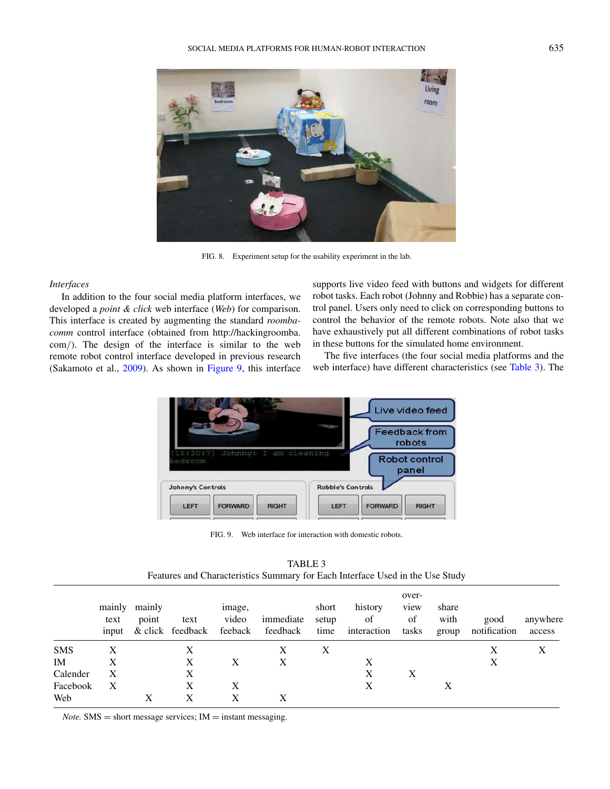<span id="page-8-0"></span>

FIG. 8. Experiment setup for the usability experiment in the lab.

#### *Interfaces*

In addition to the four social media platform interfaces, we developed a *point & click* web interface (*Web*) for comparison. This interface is created by augmenting the standard *roombacomm* control interface (obtained from http://hackingroomba. com*/*). The design of the interface is similar to the web remote robot control interface developed in previous research (Sakamoto et al., [2009\)](#page-15-3). As shown in [Figure 9,](#page-8-1) this interface

supports live video feed with buttons and widgets for different robot tasks. Each robot (Johnny and Robbie) has a separate control panel. Users only need to click on corresponding buttons to control the behavior of the remote robots. Note also that we have exhaustively put all different combinations of robot tasks in these buttons for the simulated home environment.

The five interfaces (the four social media platforms and the web interface) have different characteristics (see [Table 3\)](#page-8-2). The

<span id="page-8-1"></span>

<span id="page-8-2"></span>FIG. 9. Web interface for interaction with domestic robots.

|                                                                               | TABLE 3 |  |
|-------------------------------------------------------------------------------|---------|--|
| Features and Characteristics Summary for Each Interface Used in the Use Study |         |  |

|            | mainly<br>text<br>input | mainly<br>point | text<br>& click feedback | image,<br>video<br>feeback | immediate<br>feedback | short<br>setup<br>time | history<br>of<br>interaction | over-<br>view<br>of<br>tasks | share<br>with<br>group | good<br>notification | anywhere<br>access |
|------------|-------------------------|-----------------|--------------------------|----------------------------|-----------------------|------------------------|------------------------------|------------------------------|------------------------|----------------------|--------------------|
| <b>SMS</b> | Χ                       |                 | X                        |                            | Х                     | X                      |                              |                              |                        | х                    | X                  |
| IM         | Х                       |                 | X                        | X                          | Х                     |                        | Χ                            |                              |                        | Х                    |                    |
| Calender   | X                       |                 | X                        |                            |                       |                        | Х                            | Х                            |                        |                      |                    |
| Facebook   | X                       |                 | X                        | X                          |                       |                        | X                            |                              | X                      |                      |                    |
| Web        |                         | X               | X                        | Х                          | х                     |                        |                              |                              |                        |                      |                    |

*Note.* SMS = short message services;  $IM$  = instant messaging.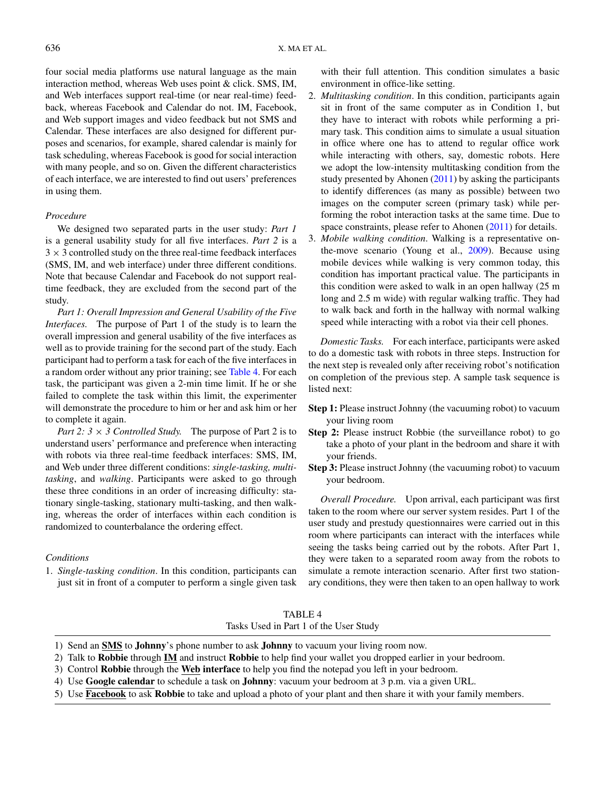four social media platforms use natural language as the main interaction method, whereas Web uses point & click. SMS, IM, and Web interfaces support real-time (or near real-time) feedback, whereas Facebook and Calendar do not. IM, Facebook, and Web support images and video feedback but not SMS and Calendar. These interfaces are also designed for different purposes and scenarios, for example, shared calendar is mainly for task scheduling, whereas Facebook is good for social interaction with many people, and so on. Given the different characteristics of each interface, we are interested to find out users' preferences in using them.

# *Procedure*

We designed two separated parts in the user study: *Part 1* is a general usability study for all five interfaces. *Part 2* is a  $3 \times 3$  controlled study on the three real-time feedback interfaces (SMS, IM, and web interface) under three different conditions. Note that because Calendar and Facebook do not support realtime feedback, they are excluded from the second part of the study.

*Part 1: Overall Impression and General Usability of the Five Interfaces.* The purpose of Part 1 of the study is to learn the overall impression and general usability of the five interfaces as well as to provide training for the second part of the study. Each participant had to perform a task for each of the five interfaces in a random order without any prior training; see [Table 4.](#page-9-0) For each task, the participant was given a 2-min time limit. If he or she failed to complete the task within this limit, the experimenter will demonstrate the procedure to him or her and ask him or her to complete it again.

*Part 2: 3*  $\times$  *3 Controlled Study.* The purpose of Part 2 is to understand users' performance and preference when interacting with robots via three real-time feedback interfaces: SMS, IM, and Web under three different conditions: *single-tasking, multitasking*, and *walking*. Participants were asked to go through these three conditions in an order of increasing difficulty: stationary single-tasking, stationary multi-tasking, and then walking, whereas the order of interfaces within each condition is randomized to counterbalance the ordering effect.

# *Conditions*

1. *Single-tasking condition*. In this condition, participants can just sit in front of a computer to perform a single given task with their full attention. This condition simulates a basic environment in office-like setting.

- 2. *Multitasking condition*. In this condition, participants again sit in front of the same computer as in Condition 1, but they have to interact with robots while performing a primary task. This condition aims to simulate a usual situation in office where one has to attend to regular office work while interacting with others, say, domestic robots. Here we adopt the low-intensity multitasking condition from the study presented by Ahonen  $(2011)$  by asking the participants to identify differences (as many as possible) between two images on the computer screen (primary task) while performing the robot interaction tasks at the same time. Due to space constraints, please refer to Ahonen  $(2011)$  for details.
- 3. *Mobile walking condition*. Walking is a representative onthe-move scenario (Young et al., [2009\)](#page-15-18). Because using mobile devices while walking is very common today, this condition has important practical value. The participants in this condition were asked to walk in an open hallway (25 m long and 2.5 m wide) with regular walking traffic. They had to walk back and forth in the hallway with normal walking speed while interacting with a robot via their cell phones.

*Domestic Tasks.* For each interface, participants were asked to do a domestic task with robots in three steps. Instruction for the next step is revealed only after receiving robot's notification on completion of the previous step. A sample task sequence is listed next:

- **Step 1:** Please instruct Johnny (the vacuuming robot) to vacuum your living room
- **Step 2:** Please instruct Robbie (the surveillance robot) to go take a photo of your plant in the bedroom and share it with your friends.
- **Step 3:** Please instruct Johnny (the vacuuming robot) to vacuum your bedroom.

<span id="page-9-0"></span>*Overall Procedure.* Upon arrival, each participant was first taken to the room where our server system resides. Part 1 of the user study and prestudy questionnaires were carried out in this room where participants can interact with the interfaces while seeing the tasks being carried out by the robots. After Part 1, they were taken to a separated room away from the robots to simulate a remote interaction scenario. After first two stationary conditions, they were then taken to an open hallway to work

TABLE 4 Tasks Used in Part 1 of the User Study

- 1) Send an **SMS** to **Johnny**'s phone number to ask **Johnny** to vacuum your living room now.
- 2) Talk to **Robbie** through **IM** and instruct **Robbie** to help find your wallet you dropped earlier in your bedroom.
- 3) Control **Robbie** through the **Web interface** to help you find the notepad you left in your bedroom.
- 4) Use **Google calendar** to schedule a task on **Johnny**: vacuum your bedroom at 3 p.m. via a given URL.
- 5) Use **Facebook** to ask **Robbie** to take and upload a photo of your plant and then share it with your family members.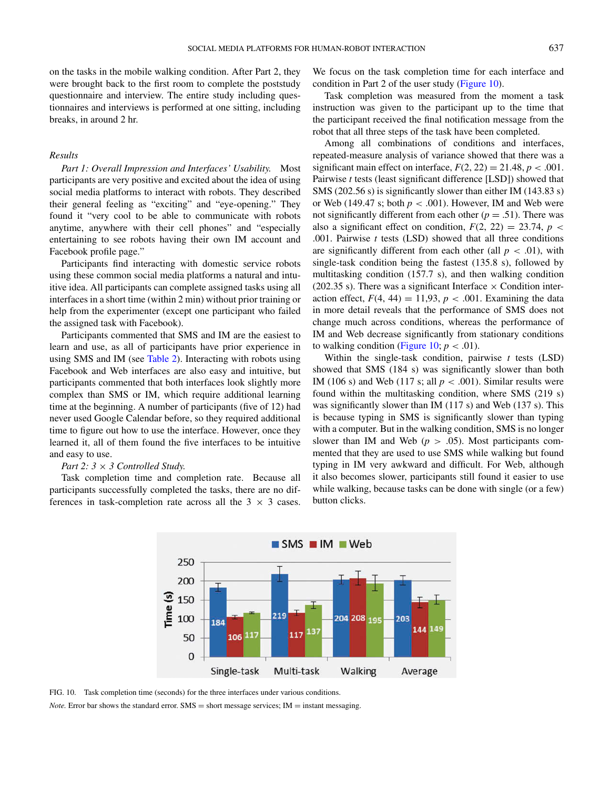on the tasks in the mobile walking condition. After Part 2, they were brought back to the first room to complete the poststudy questionnaire and interview. The entire study including questionnaires and interviews is performed at one sitting, including breaks, in around 2 hr.

## *Results*

*Part 1: Overall Impression and Interfaces' Usability.* Most participants are very positive and excited about the idea of using social media platforms to interact with robots. They described their general feeling as "exciting" and "eye-opening." They found it "very cool to be able to communicate with robots anytime, anywhere with their cell phones" and "especially entertaining to see robots having their own IM account and Facebook profile page."

Participants find interacting with domestic service robots using these common social media platforms a natural and intuitive idea. All participants can complete assigned tasks using all interfaces in a short time (within 2 min) without prior training or help from the experimenter (except one participant who failed the assigned task with Facebook).

Participants commented that SMS and IM are the easiest to learn and use, as all of participants have prior experience in using SMS and IM (see [Table 2\)](#page-7-0). Interacting with robots using Facebook and Web interfaces are also easy and intuitive, but participants commented that both interfaces look slightly more complex than SMS or IM, which require additional learning time at the beginning. A number of participants (five of 12) had never used Google Calendar before, so they required additional time to figure out how to use the interface. However, once they learned it, all of them found the five interfaces to be intuitive and easy to use.

#### *Part 2: 3* × *3 Controlled Study.*

<span id="page-10-0"></span>Task completion time and completion rate. Because all participants successfully completed the tasks, there are no differences in task-completion rate across all the  $3 \times 3$  cases.

We focus on the task completion time for each interface and condition in Part 2 of the user study [\(Figure 10\)](#page-10-0).

Task completion was measured from the moment a task instruction was given to the participant up to the time that the participant received the final notification message from the robot that all three steps of the task have been completed.

Among all combinations of conditions and interfaces, repeated-measure analysis of variance showed that there was a significant main effect on interface,  $F(2, 22) = 21.48$ ,  $p < .001$ . Pairwise *t* tests (least significant difference [LSD]) showed that SMS (202.56 s) is significantly slower than either IM (143.83 s) or Web (149.47 s; both  $p < .001$ ). However, IM and Web were not significantly different from each other  $(p = .51)$ . There was also a significant effect on condition,  $F(2, 22) = 23.74$ ,  $p <$ .001. Pairwise *t* tests (LSD) showed that all three conditions are significantly different from each other (all  $p < .01$ ), with single-task condition being the fastest (135.8 s), followed by multitasking condition (157.7 s), and then walking condition (202.35 s). There was a significant Interface  $\times$  Condition interaction effect,  $F(4, 44) = 11,93$ ,  $p < .001$ . Examining the data in more detail reveals that the performance of SMS does not change much across conditions, whereas the performance of IM and Web decrease significantly from stationary conditions to walking condition [\(Figure 10;](#page-10-0)  $p < .01$ ).

Within the single-task condition, pairwise *t* tests (LSD) showed that SMS (184 s) was significantly slower than both IM (106 s) and Web (117 s; all  $p < .001$ ). Similar results were found within the multitasking condition, where SMS (219 s) was significantly slower than IM (117 s) and Web (137 s). This is because typing in SMS is significantly slower than typing with a computer. But in the walking condition, SMS is no longer slower than IM and Web ( $p > .05$ ). Most participants commented that they are used to use SMS while walking but found typing in IM very awkward and difficult. For Web, although it also becomes slower, participants still found it easier to use while walking, because tasks can be done with single (or a few) button clicks.



FIG. 10. Task completion time (seconds) for the three interfaces under various conditions.

*Note.* Error bar shows the standard error.  $\text{SMS} = \text{short message services}$ ;  $\text{IM} = \text{instant messaging}$ .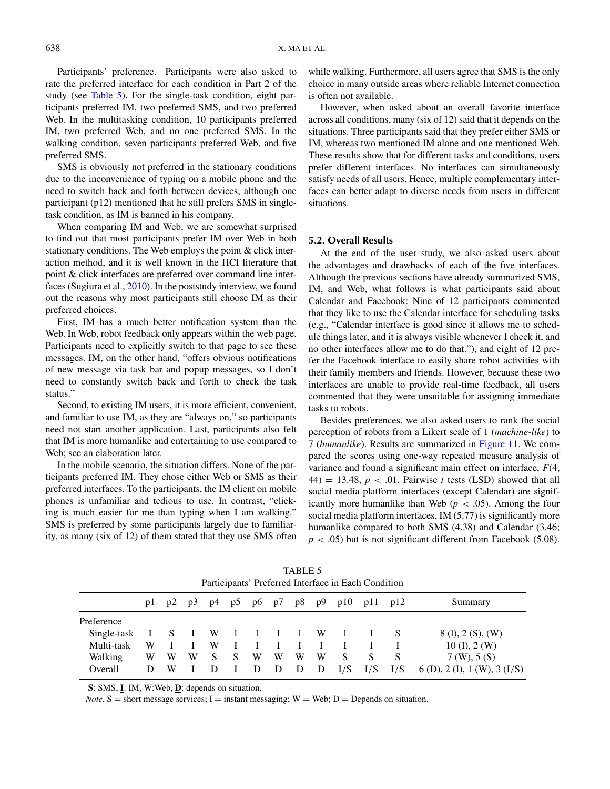Participants' preference. Participants were also asked to rate the preferred interface for each condition in Part 2 of the study (see [Table 5\)](#page-11-0). For the single-task condition, eight participants preferred IM, two preferred SMS, and two preferred Web. In the multitasking condition, 10 participants preferred IM, two preferred Web, and no one preferred SMS. In the walking condition, seven participants preferred Web, and five preferred SMS.

SMS is obviously not preferred in the stationary conditions due to the inconvenience of typing on a mobile phone and the need to switch back and forth between devices, although one participant (p12) mentioned that he still prefers SMS in singletask condition, as IM is banned in his company.

When comparing IM and Web, we are somewhat surprised to find out that most participants prefer IM over Web in both stationary conditions. The Web employs the point & click interaction method, and it is well known in the HCI literature that point & click interfaces are preferred over command line interfaces (Sugiura et al., [2010\)](#page-15-8). In the poststudy interview, we found out the reasons why most participants still choose IM as their preferred choices.

First, IM has a much better notification system than the Web. In Web, robot feedback only appears within the web page. Participants need to explicitly switch to that page to see these messages. IM, on the other hand, "offers obvious notifications of new message via task bar and popup messages, so I don't need to constantly switch back and forth to check the task status."

Second, to existing IM users, it is more efficient, convenient, and familiar to use IM, as they are "always on," so participants need not start another application. Last, participants also felt that IM is more humanlike and entertaining to use compared to Web; see an elaboration later.

In the mobile scenario, the situation differs. None of the participants preferred IM. They chose either Web or SMS as their preferred interfaces. To the participants, the IM client on mobile phones is unfamiliar and tedious to use. In contrast, "clicking is much easier for me than typing when I am walking." SMS is preferred by some participants largely due to familiarity, as many (six of 12) of them stated that they use SMS often

while walking. Furthermore, all users agree that SMS is the only choice in many outside areas where reliable Internet connection is often not available.

However, when asked about an overall favorite interface across all conditions, many (six of 12) said that it depends on the situations. Three participants said that they prefer either SMS or IM, whereas two mentioned IM alone and one mentioned Web. These results show that for different tasks and conditions, users prefer different interfaces. No interfaces can simultaneously satisfy needs of all users. Hence, multiple complementary interfaces can better adapt to diverse needs from users in different situations.

# **5.2. Overall Results**

At the end of the user study, we also asked users about the advantages and drawbacks of each of the five interfaces. Although the previous sections have already summarized SMS, IM, and Web, what follows is what participants said about Calendar and Facebook: Nine of 12 participants commented that they like to use the Calendar interface for scheduling tasks (e.g., "Calendar interface is good since it allows me to schedule things later, and it is always visible whenever I check it, and no other interfaces allow me to do that."), and eight of 12 prefer the Facebook interface to easily share robot activities with their family members and friends. However, because these two interfaces are unable to provide real-time feedback, all users commented that they were unsuitable for assigning immediate tasks to robots.

<span id="page-11-0"></span>Besides preferences, we also asked users to rank the social perception of robots from a Likert scale of 1 (*machine-like*) to 7 (*humanlike*). Results are summarized in [Figure 11.](#page-12-0) We compared the scores using one-way repeated measure analysis of variance and found a significant main effect on interface, *F*(4,  $44$ ) = 13.48,  $p < .01$ . Pairwise *t* tests (LSD) showed that all social media platform interfaces (except Calendar) are significantly more humanlike than Web  $(p < .05)$ . Among the four social media platform interfaces, IM (5.77) is significantly more humanlike compared to both SMS (4.38) and Calendar (3.46;  $p < .05$ ) but is not significant different from Facebook  $(5.08)$ .

|                                     |   |   |   |              |                |   |    |              |              | p1 p2 p3 p4 p5 p6 p7 p8 p9 p10 p11 p12 |     |     | Summary                         |
|-------------------------------------|---|---|---|--------------|----------------|---|----|--------------|--------------|----------------------------------------|-----|-----|---------------------------------|
| Preference                          |   |   |   |              |                |   |    |              |              |                                        |     |     |                                 |
| Single-task I S I W 1 1 1 1 W 1 1 S |   |   |   |              |                |   |    |              |              |                                        |     |     | $8$ (1), 2 (S), (W)             |
| Multi-task                          | W |   |   | W            | $\blacksquare$ |   |    |              |              |                                        |     |     | $10 \text{ (I)}, 2 \text{ (W)}$ |
| Walking                             | W | W | W | <sub>S</sub> | S.             | W | W  | W            | <b>W</b>     | S.                                     | S.  |     | 7(W, 5(S)                       |
| Overall                             |   | W |   |              |                | D | D. | $\mathbf{D}$ | $\mathbf{D}$ | I/S                                    | I/S | I/S | $6$ (D), 2 (I), 1 (W), 3 (I/S)  |

TABLE 5 Participants' Preferred Interface in Each Condition

**S**: SMS, **I**: IM, W:Web, **D**: depends on situation.

*Note.* S = short message services; I = instant messaging; W = Web; D = Depends on situation.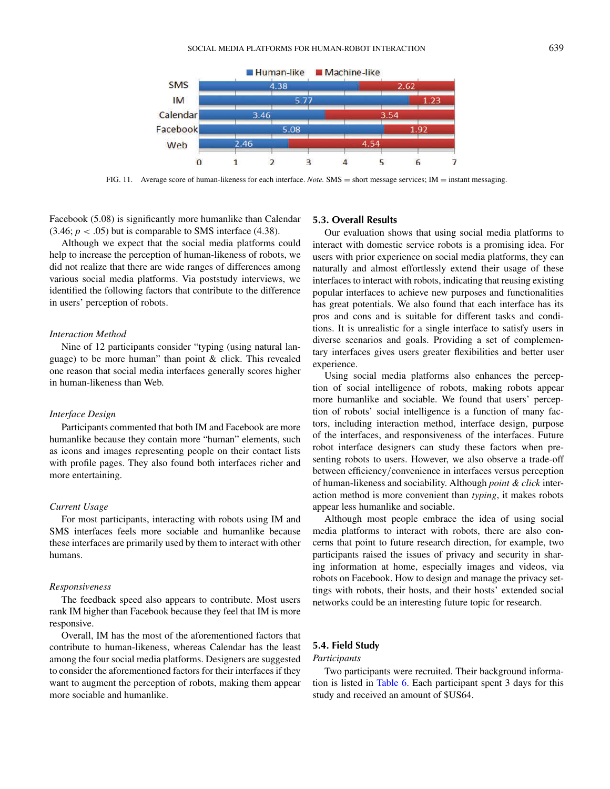<span id="page-12-0"></span>

FIG. 11. Average score of human-likeness for each interface. *Note.* SMS = short message services; IM = instant messaging.

Facebook (5.08) is significantly more humanlike than Calendar  $(3.46; p < .05)$  but is comparable to SMS interface  $(4.38)$ .

Although we expect that the social media platforms could help to increase the perception of human-likeness of robots, we did not realize that there are wide ranges of differences among various social media platforms. Via poststudy interviews, we identified the following factors that contribute to the difference in users' perception of robots.

## *Interaction Method*

Nine of 12 participants consider "typing (using natural language) to be more human" than point & click. This revealed one reason that social media interfaces generally scores higher in human-likeness than Web.

#### *Interface Design*

Participants commented that both IM and Facebook are more humanlike because they contain more "human" elements, such as icons and images representing people on their contact lists with profile pages. They also found both interfaces richer and more entertaining.

#### *Current Usage*

For most participants, interacting with robots using IM and SMS interfaces feels more sociable and humanlike because these interfaces are primarily used by them to interact with other humans.

#### *Responsiveness*

The feedback speed also appears to contribute. Most users rank IM higher than Facebook because they feel that IM is more responsive.

Overall, IM has the most of the aforementioned factors that contribute to human-likeness, whereas Calendar has the least among the four social media platforms. Designers are suggested to consider the aforementioned factors for their interfaces if they want to augment the perception of robots, making them appear more sociable and humanlike.

## **5.3. Overall Results**

Our evaluation shows that using social media platforms to interact with domestic service robots is a promising idea. For users with prior experience on social media platforms, they can naturally and almost effortlessly extend their usage of these interfaces to interact with robots, indicating that reusing existing popular interfaces to achieve new purposes and functionalities has great potentials. We also found that each interface has its pros and cons and is suitable for different tasks and conditions. It is unrealistic for a single interface to satisfy users in diverse scenarios and goals. Providing a set of complementary interfaces gives users greater flexibilities and better user experience.

Using social media platforms also enhances the perception of social intelligence of robots, making robots appear more humanlike and sociable. We found that users' perception of robots' social intelligence is a function of many factors, including interaction method, interface design, purpose of the interfaces, and responsiveness of the interfaces. Future robot interface designers can study these factors when presenting robots to users. However, we also observe a trade-off between efficiency*/*convenience in interfaces versus perception of human-likeness and sociability. Although *point & click* interaction method is more convenient than *typing*, it makes robots appear less humanlike and sociable.

Although most people embrace the idea of using social media platforms to interact with robots, there are also concerns that point to future research direction, for example, two participants raised the issues of privacy and security in sharing information at home, especially images and videos, via robots on Facebook. How to design and manage the privacy settings with robots, their hosts, and their hosts' extended social networks could be an interesting future topic for research.

# **5.4. Field Study**

# *Participants*

Two participants were recruited. Their background information is listed in [Table 6.](#page-13-0) Each participant spent 3 days for this study and received an amount of \$US64.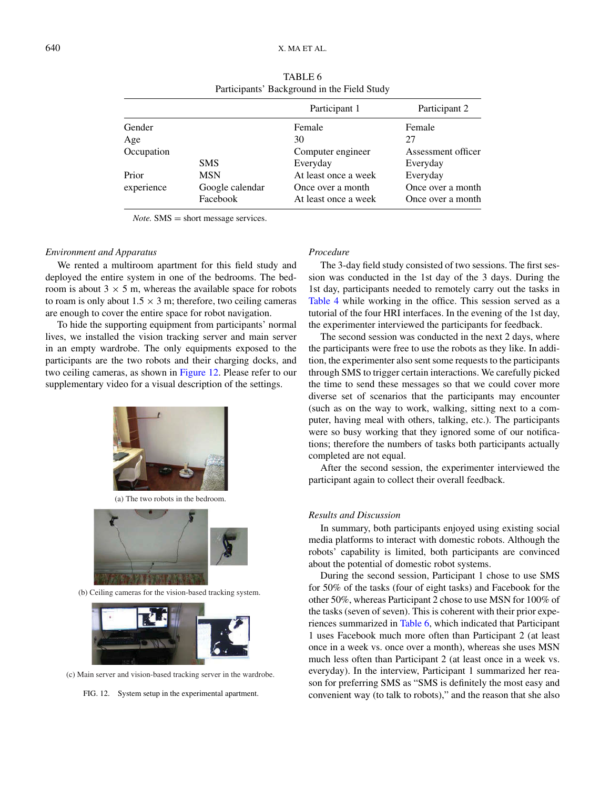# 640 X. MA ET AL.

|            |                             | Participants' Background in the Field Study |                                        |
|------------|-----------------------------|---------------------------------------------|----------------------------------------|
|            |                             | Participant 1                               | Participant 2                          |
| Gender     |                             | Female                                      | Female                                 |
| Age        |                             | 30                                          | 27                                     |
| Occupation |                             | Computer engineer                           | Assessment officer                     |
|            | <b>SMS</b>                  | Everyday                                    | Everyday                               |
| Prior      | <b>MSN</b>                  | At least once a week                        | Everyday                               |
| experience | Google calendar<br>Facebook | Once over a month<br>At least once a week   | Once over a month<br>Once over a month |
|            |                             |                                             |                                        |

TABLE 6 Participants' Background in the Field Study

*Note.* SMS = short message services.

# *Environment and Apparatus*

We rented a multiroom apartment for this field study and deployed the entire system in one of the bedrooms. The bedroom is about  $3 \times 5$  m, whereas the available space for robots to roam is only about  $1.5 \times 3$  m; therefore, two ceiling cameras are enough to cover the entire space for robot navigation.

To hide the supporting equipment from participants' normal lives, we installed the vision tracking server and main server in an empty wardrobe. The only equipments exposed to the participants are the two robots and their charging docks, and two ceiling cameras, as shown in [Figure 12.](#page-13-1) Please refer to our supplementary video for a visual description of the settings.

<span id="page-13-1"></span>

(a) The two robots in the bedroom.



(b) Ceiling cameras for the vision-based tracking system.



(c) Main server and vision-based tracking server in the wardrobe.

FIG. 12. System setup in the experimental apartment.

# <span id="page-13-0"></span>*Procedure*

The 3-day field study consisted of two sessions. The first session was conducted in the 1st day of the 3 days. During the 1st day, participants needed to remotely carry out the tasks in [Table 4](#page-9-0) while working in the office. This session served as a tutorial of the four HRI interfaces. In the evening of the 1st day, the experimenter interviewed the participants for feedback.

The second session was conducted in the next 2 days, where the participants were free to use the robots as they like. In addition, the experimenter also sent some requests to the participants through SMS to trigger certain interactions. We carefully picked the time to send these messages so that we could cover more diverse set of scenarios that the participants may encounter (such as on the way to work, walking, sitting next to a computer, having meal with others, talking, etc.). The participants were so busy working that they ignored some of our notifications; therefore the numbers of tasks both participants actually completed are not equal.

After the second session, the experimenter interviewed the participant again to collect their overall feedback.

## *Results and Discussion*

In summary, both participants enjoyed using existing social media platforms to interact with domestic robots. Although the robots' capability is limited, both participants are convinced about the potential of domestic robot systems.

During the second session, Participant 1 chose to use SMS for 50% of the tasks (four of eight tasks) and Facebook for the other 50%, whereas Participant 2 chose to use MSN for 100% of the tasks (seven of seven). This is coherent with their prior experiences summarized in [Table 6,](#page-13-0) which indicated that Participant 1 uses Facebook much more often than Participant 2 (at least once in a week vs. once over a month), whereas she uses MSN much less often than Participant 2 (at least once in a week vs. everyday). In the interview, Participant 1 summarized her reason for preferring SMS as "SMS is definitely the most easy and convenient way (to talk to robots)," and the reason that she also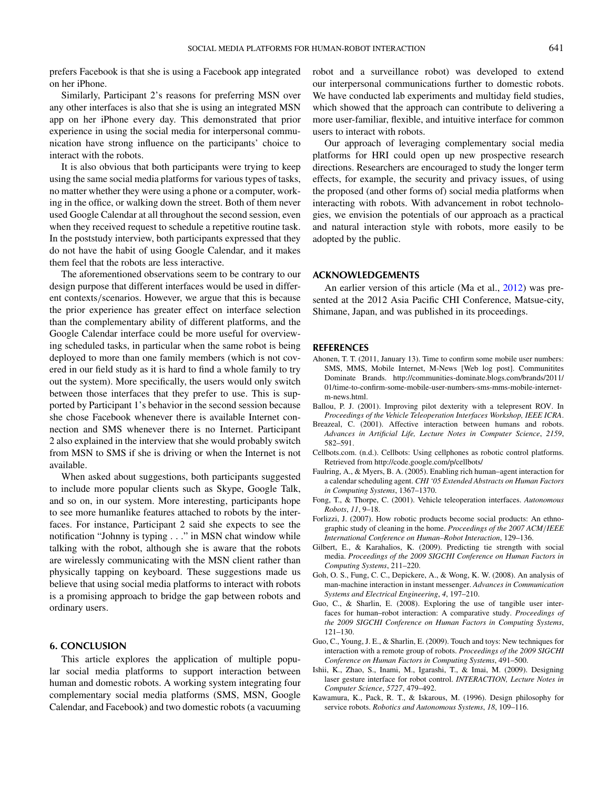prefers Facebook is that she is using a Facebook app integrated on her iPhone.

Similarly, Participant 2's reasons for preferring MSN over any other interfaces is also that she is using an integrated MSN app on her iPhone every day. This demonstrated that prior experience in using the social media for interpersonal communication have strong influence on the participants' choice to interact with the robots.

It is also obvious that both participants were trying to keep using the same social media platforms for various types of tasks, no matter whether they were using a phone or a computer, working in the office, or walking down the street. Both of them never used Google Calendar at all throughout the second session, even when they received request to schedule a repetitive routine task. In the poststudy interview, both participants expressed that they do not have the habit of using Google Calendar, and it makes them feel that the robots are less interactive.

The aforementioned observations seem to be contrary to our design purpose that different interfaces would be used in different contexts*/*scenarios. However, we argue that this is because the prior experience has greater effect on interface selection than the complementary ability of different platforms, and the Google Calendar interface could be more useful for overviewing scheduled tasks, in particular when the same robot is being deployed to more than one family members (which is not covered in our field study as it is hard to find a whole family to try out the system). More specifically, the users would only switch between those interfaces that they prefer to use. This is supported by Participant 1's behavior in the second session because she chose Facebook whenever there is available Internet connection and SMS whenever there is no Internet. Participant 2 also explained in the interview that she would probably switch from MSN to SMS if she is driving or when the Internet is not available.

When asked about suggestions, both participants suggested to include more popular clients such as Skype, Google Talk, and so on, in our system. More interesting, participants hope to see more humanlike features attached to robots by the interfaces. For instance, Participant 2 said she expects to see the notification "Johnny is typing *...*" in MSN chat window while talking with the robot, although she is aware that the robots are wirelessly communicating with the MSN client rather than physically tapping on keyboard. These suggestions made us believe that using social media platforms to interact with robots is a promising approach to bridge the gap between robots and ordinary users.

## **6. CONCLUSION**

This article explores the application of multiple popular social media platforms to support interaction between human and domestic robots. A working system integrating four complementary social media platforms (SMS, MSN, Google Calendar, and Facebook) and two domestic robots (a vacuuming robot and a surveillance robot) was developed to extend our interpersonal communications further to domestic robots. We have conducted lab experiments and multiday field studies, which showed that the approach can contribute to delivering a more user-familiar, flexible, and intuitive interface for common users to interact with robots.

Our approach of leveraging complementary social media platforms for HRI could open up new prospective research directions. Researchers are encouraged to study the longer term effects, for example, the security and privacy issues, of using the proposed (and other forms of) social media platforms when interacting with robots. With advancement in robot technologies, we envision the potentials of our approach as a practical and natural interaction style with robots, more easily to be adopted by the public.

# **ACKNOWLEDGEMENTS**

An earlier version of this article (Ma et al., [2012\)](#page-15-20) was presented at the 2012 Asia Pacific CHI Conference, Matsue-city, Shimane, Japan, and was published in its proceedings.

# **REFERENCES**

- <span id="page-14-11"></span>Ahonen, T. T. (2011, January 13). Time to confirm some mobile user numbers: SMS, MMS, Mobile Internet, M-News [Web log post]. Communitites Dominate Brands. [http://communities-dominate.blogs.com/brands/2011/](http://communities-dominate.blogs.com/brands/2011/01/time-to-confirm-some-mobile-user-numbers-sms-mms-mobile-internet-m-news.html) [01/time-to-confirm-some-mobile-user-numbers-sms-mms-mobile-internet](http://communities-dominate.blogs.com/brands/2011/01/time-to-confirm-some-mobile-user-numbers-sms-mms-mobile-internet-m-news.html)[m-news.html.](http://communities-dominate.blogs.com/brands/2011/01/time-to-confirm-some-mobile-user-numbers-sms-mms-mobile-internet-m-news.html)
- <span id="page-14-7"></span>Ballou, P. J. (2001). Improving pilot dexterity with a telepresent ROV. In *Proceedings of the Vehicle Teleoperation Interfaces Workshop, IEEE ICRA*.
- <span id="page-14-1"></span>Breazeal, C. (2001). Affective interaction between humans and robots. *Advances in Artificial Life, Lecture Notes in Computer Science*, *2159*, 582–591.
- Cellbots.com. (n.d.). Cellbots: Using cellphones as robotic control platforms. Retrieved from<http://code.google.com/p/cellbots/>
- <span id="page-14-9"></span>Faulring, A., & Myers, B. A. (2005). Enabling rich human–agent interaction for a calendar scheduling agent. *CHI '05 Extended Abstracts on Human Factors in Computing Systems*, 1367–1370.
- <span id="page-14-6"></span>Fong, T., & Thorpe, C. (2001). Vehicle teleoperation interfaces. *Autonomous Robots*, *11*, 9–18.
- <span id="page-14-2"></span>Forlizzi, J. (2007). How robotic products become social products: An ethnographic study of cleaning in the home. *Proceedings of the 2007 ACM/IEEE International Conference on Human–Robot Interaction*, 129–136.
- <span id="page-14-8"></span>Gilbert, E., & Karahalios, K. (2009). Predicting tie strength with social media. *Proceedings of the 2009 SIGCHI Conference on Human Factors in Computing Systems*, 211–220.
- <span id="page-14-10"></span>Goh, O. S., Fung, C. C., Depickere, A., & Wong, K. W. (2008). An analysis of man-machine interaction in instant messenger. *Advances in Communication Systems and Electrical Engineering*, *4*, 197–210.
- <span id="page-14-4"></span>Guo, C., & Sharlin, E. (2008). Exploring the use of tangible user interfaces for human–robot interaction: A comparative study. *Proceedings of the 2009 SIGCHI Conference on Human Factors in Computing Systems*, 121–130.
- <span id="page-14-3"></span>Guo, C., Young, J. E., & Sharlin, E. (2009). Touch and toys: New techniques for interaction with a remote group of robots. *Proceedings of the 2009 SIGCHI Conference on Human Factors in Computing Systems*, 491–500.
- <span id="page-14-5"></span>Ishii, K., Zhao, S., Inami, M., Igarashi, T., & Imai, M. (2009). Designing laser gesture interface for robot control. *INTERACTION, Lecture Notes in Computer Science*, *5727*, 479–492.
- <span id="page-14-0"></span>Kawamura, K., Pack, R. T., & Iskarous, M. (1996). Design philosophy for service robots. *Robotics and Autonomous Systems*, *18*, 109–116.